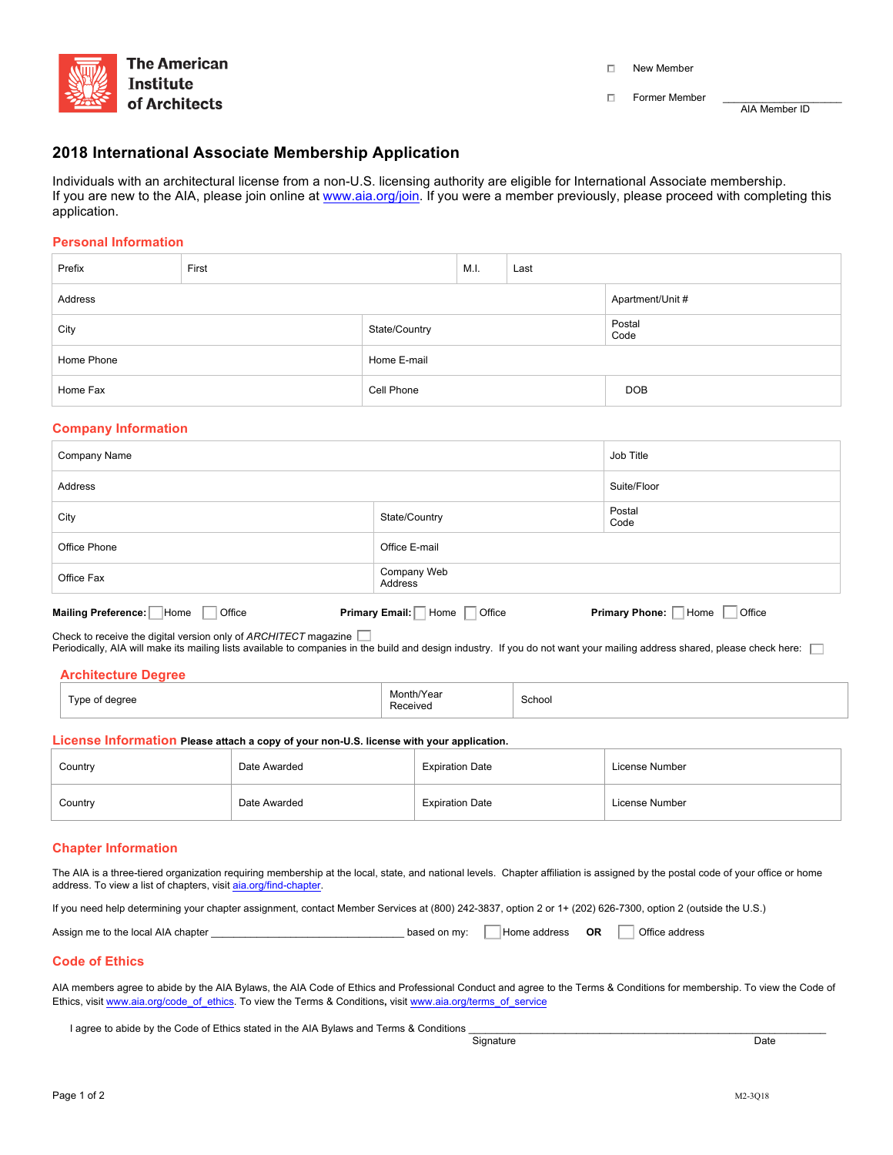

D New Member

 $\Box$  Former Member

AIA Member ID

# **2018 International Associate Membership Application**

Individuals with an architectural license from a non-U.S. licensing authority are eligible for International Associate membership. If you are new to the AIA, please join online at www.aia.org/join. If you were a member previously, please proceed with completing this application.

### **Personal Information**

| Prefix     | First         |                  | M.I. | Last           |            |
|------------|---------------|------------------|------|----------------|------------|
| Address    |               | Apartment/Unit # |      |                |            |
| City       | State/Country |                  |      | Postal<br>Code |            |
| Home Phone |               | Home E-mail      |      |                |            |
| Home Fax   |               | Cell Phone       |      |                | <b>DOB</b> |

### **Company Information**

| Company Name                              |                                             | Job Title                     |  |
|-------------------------------------------|---------------------------------------------|-------------------------------|--|
| Address                                   |                                             | Suite/Floor                   |  |
| City                                      | State/Country                               | Postal<br>Code                |  |
| Office Phone                              | Office E-mail                               |                               |  |
| Office Fax                                | Company Web<br>Address                      |                               |  |
| Mailing Preference: Home<br><b>Office</b> | Primary Email: $\Box$ Home $\Box$<br>Office | Primary Phone: Home<br>Office |  |

Check to receive the digital version only of *ARCHITECT* magazine

Periodically, AIA will make its mailing lists available to companies in the build and design industry. If you do not want your mailing address shared, please check here:

| Type of degree<br>$\sim$ $\sim$ | Month/Year<br>Received | School |
|---------------------------------|------------------------|--------|

**License Information Please attach a copy of your non-U.S. license with your application.** 

| Country | Date Awarded | <b>Expiration Date</b> | License Number |
|---------|--------------|------------------------|----------------|
| Country | Date Awarded | <b>Expiration Date</b> | License Number |

### **Chapter Information**

The AIA is a three-tiered organization requiring membership at the local, state, and national levels. Chapter affiliation is assigned by the postal code of your office or home address. To view a list of chapters, visit aia.org/find-chapter.

If you need help determining your chapter assignment, contact Member Services at (800) 242-3837, option 2 or 1+ (202) 626-7300, option 2 (outside the U.S.)

| Assign me to the local AIA chapter | based on my: | Home address | ОR |  | Office address |
|------------------------------------|--------------|--------------|----|--|----------------|
|------------------------------------|--------------|--------------|----|--|----------------|

## **Code of Ethics**

AIA members agree to abide by the AIA Bylaws, the AIA Code of Ethics and Professional Conduct and agree to the Terms & Conditions for membership. To view the Code of Ethics, visit www.aia.org/code\_of\_ethics. To view the Terms & Conditions, visit www.aia.org/terms\_of\_service

I agree to abide by the Code of Ethics stated in the AIA Bylaws and Terms & Conditions <br>
Signature

enter a constant and the Signature of the Signature of the Constant and the Date of the Date of the Date of the Date of the Date of the Date of the Date of the Date of the Date of the Date of the Date of the Date of the Da